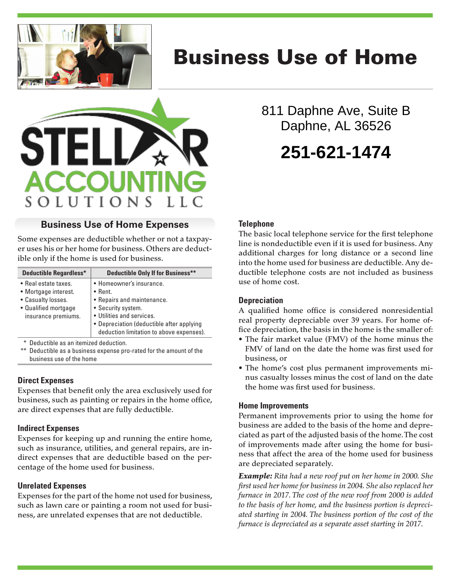

# Business Use of Home



## **Business Use of Home Expenses**

Some expenses are deductible whether or not a taxpayer uses his or her home for business. Others are deductible only if the home is used for business.

| <b>Deductible Regardless*</b>                                                                                     | <b>Deductible Only If for Business**</b>                                                                                                                                                                              |
|-------------------------------------------------------------------------------------------------------------------|-----------------------------------------------------------------------------------------------------------------------------------------------------------------------------------------------------------------------|
| • Real estate taxes.<br>• Mortgage interest.<br>• Casualty losses.<br>• Qualified mortgage<br>insurance premiums. | • Homeowner's insurance.<br>$\bullet$ Rent.<br>• Repairs and maintenance.<br>• Security system.<br>• Utilities and services.<br>• Depreciation (deductible after applying<br>deduction limitation to above expenses). |

Deductible as an itemized deduction.

Deductible as a business expense pro-rated for the amount of the business use of the home

## **Direct Expenses**

Expenses that benefit only the area exclusively used for business, such as painting or repairs in the home office, are direct expenses that are fully deductible.

## **Indirect Expenses**

Expenses for keeping up and running the entire home, such as insurance, utilities, and general repairs, are indirect expenses that are deductible based on the percentage of the home used for business.

## **Unrelated Expenses**

Expenses for the part of the home not used for business, such as lawn care or painting a room not used for business, are unrelated expenses that are not deductible.

811 Daphne Ave, Suite B Daphne, AL 36526 **251-621-1474**

## **Telephone**

The basic local telephone service for the first telephone line is nondeductible even if it is used for business. Any additional charges for long distance or a second line into the home used for business are deductible. Any deductible telephone costs are not included as business use of home cost.

## **Depreciation**

A qualified home office is considered nonresidential real property depreciable over 39 years. For home office depreciation, the basis in the home is the smaller of:

- The fair market value (FMV) of the home minus the FMV of land on the date the home was first used for business, or
- The home's cost plus permanent improvements minus casualty losses minus the cost of land on the date the home was first used for business.

## **Home Improvements**

Permanent improvements prior to using the home for business are added to the basis of the home and depreciated as part of the adjusted basis of the home. The cost of improvements made after using the home for business that affect the area of the home used for business are depreciated separately.

*Example: Rita had a new roof put on her home in 2000. She first used her home for business in 2004. She also replaced her furnace in 2017. The cost of the new roof from 2000 is added to the basis of her home, and the business portion is depreciated starting in 2004. The business portion of the cost of the furnace is depreciated as a separate asset starting in 2017.*